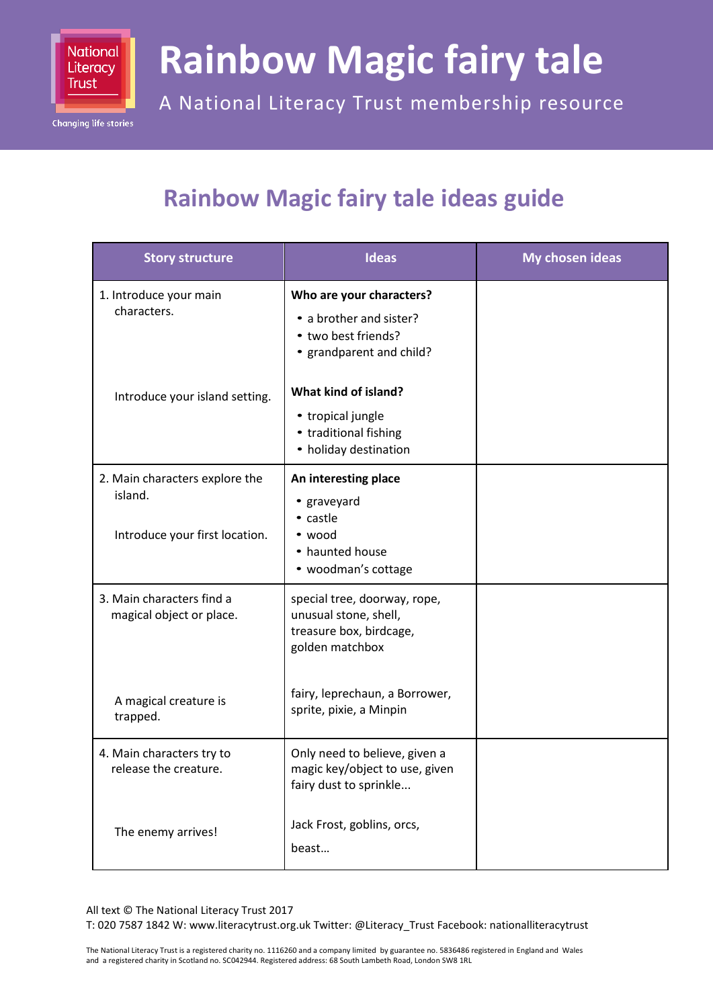

**Changing life stories** 

## **Rainbow Magic fairy tale**

A National Literacy Trust membership resource

## **Rainbow Magic fairy tale ideas guide**

| <b>Story structure</b>                                                      | <b>Ideas</b>                                                                                                               | My chosen ideas |
|-----------------------------------------------------------------------------|----------------------------------------------------------------------------------------------------------------------------|-----------------|
| 1. Introduce your main<br>characters.                                       | Who are your characters?<br>• a brother and sister?<br>• two best friends?<br>• grandparent and child?                     |                 |
| Introduce your island setting.                                              | What kind of island?<br>• tropical jungle<br>• traditional fishing<br>• holiday destination                                |                 |
| 2. Main characters explore the<br>island.<br>Introduce your first location. | An interesting place<br>• graveyard<br>• castle<br>• wood<br>• haunted house                                               |                 |
| 3. Main characters find a<br>magical object or place.                       | • woodman's cottage<br>special tree, doorway, rope,<br>unusual stone, shell,<br>treasure box, birdcage,<br>golden matchbox |                 |
| A magical creature is<br>trapped.                                           | fairy, leprechaun, a Borrower,<br>sprite, pixie, a Minpin                                                                  |                 |
| 4. Main characters try to<br>release the creature.                          | Only need to believe, given a<br>magic key/object to use, given<br>fairy dust to sprinkle                                  |                 |
| The enemy arrives!                                                          | Jack Frost, goblins, orcs,<br>beast                                                                                        |                 |

All text © The National Literacy Trust 2017

T: 020 7587 1842 W: www.literacytrust.org.uk Twitter: @Literacy\_Trust Facebook: nationalliteracytrust